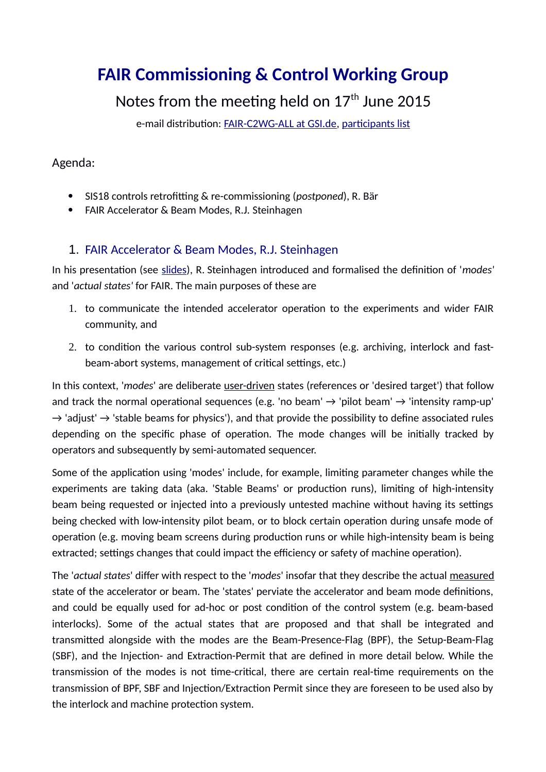# **FAIR Commissioning & Control Working Group**

## Notes from the meeting held on  $17<sup>th</sup>$  June 2015

e-mail distribution: [FAIR-C2WG-ALL at GSI.de,](mailto:FAIR-C2WG-ALL%20(at)%20GSI%20(punkt)%20de) [participants list](https://fair-wiki.gsi.de/foswiki/pub/FC2WG/FairC2WGMinutes/20150617_FC2WG_AttendanceList.pdf)

### Agenda:

- SIS18 controls retrofitting & re-commissioning (*postponed*), R. Bär
- FAIR Accelerator & Beam Modes, R.J. Steinhagen

## <span id="page-0-0"></span>1. [F](#page-0-0)AIR Accelerator & Beam Modes, R.J. Steinhagen

In his presentation (see [slides\)](https://fair-wiki.gsi.de/foswiki/pub/FC2WG/FairC2WGMinutes/20150617_FCWG_Machine_and_Beam_Modes_rstein.pdf), R. Steinhagen introduced and formalised the definition of '*modes'* and '*actual states'* for FAIR. The main purposes of these are

- 1. to communicate the intended accelerator operation to the experiments and wider FAIR community, and
- 2. to condition the various control sub-system responses (e.g. archiving, interlock and fastbeam-abort systems, management of critical settings, etc.)

In this context, '*modes*' are deliberate user-driven states (references or 'desired target') that follow and track the normal operational sequences (e.g. 'no beam'  $\rightarrow$  'pilot beam'  $\rightarrow$  'intensity ramp-up'  $\rightarrow$  'adjust'  $\rightarrow$  'stable beams for physics'), and that provide the possibility to define associated rules depending on the specific phase of operation. The mode changes will be initially tracked by operators and subsequently by semi-automated sequencer.

Some of the application using 'modes' include, for example, limiting parameter changes while the experiments are taking data (aka. 'Stable Beams' or production runs), limiting of high-intensity beam being requested or injected into a previously untested machine without having its settings being checked with low-intensity pilot beam, or to block certain operation during unsafe mode of operation (e.g. moving beam screens during production runs or while high-intensity beam is being extracted; settings changes that could impact the efficiency or safety of machine operation).

The '*actual states*' differ with respect to the '*modes*' insofar that they describe the actual measured state of the accelerator or beam. The 'states' perviate the accelerator and beam mode definitions, and could be equally used for ad-hoc or post condition of the control system (e.g. beam-based interlocks). Some of the actual states that are proposed and that shall be integrated and transmitted alongside with the modes are the Beam-Presence-Flag (BPF), the Setup-Beam-Flag (SBF), and the Injection- and Extraction-Permit that are defined in more detail below. While the transmission of the modes is not time-critical, there are certain real-time requirements on the transmission of BPF, SBF and Injection/Extraction Permit since they are foreseen to be used also by the interlock and machine protection system.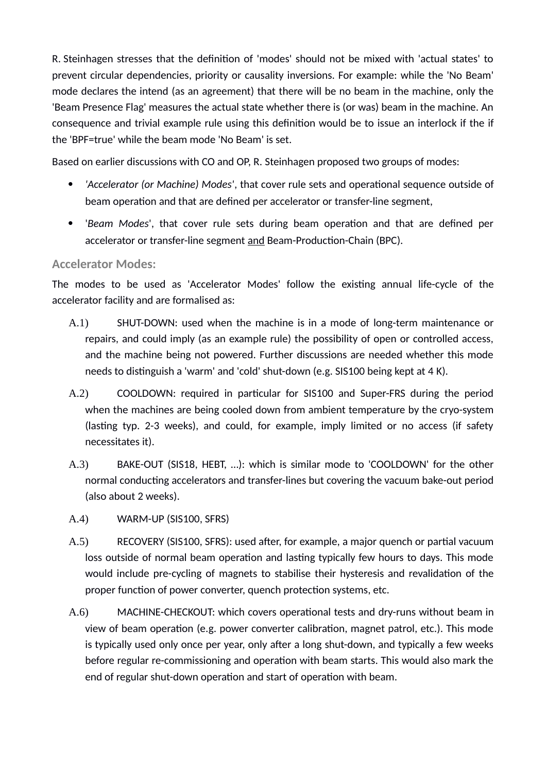R. Steinhagen stresses that the definition of 'modes' should not be mixed with 'actual states' to prevent circular dependencies, priority or causality inversions. For example: while the 'No Beam' mode declares the intend (as an agreement) that there will be no beam in the machine, only the 'Beam Presence Flag' measures the actual state whether there is (or was) beam in the machine. An consequence and trivial example rule using this definition would be to issue an interlock if the if the 'BPF=true' while the beam mode 'No Beam' is set.

Based on earlier discussions with CO and OP, R. Steinhagen proposed two groups of modes:

- *'Accelerator (or Machine) Modes'*, that cover rule sets and operational sequence outside of beam operation and that are defined per accelerator or transfer-line segment,
- '*Beam Modes*', that cover rule sets during beam operation and that are defined per accelerator or transfer-line segment and Beam-Production-Chain (BPC).

#### **Accelerator Modes:**

The modes to be used as 'Accelerator Modes' follow the existing annual life-cycle of the accelerator facility and are formalised as:

- A.1) SHUT-DOWN: used when the machine is in a mode of long-term maintenance or repairs, and could imply (as an example rule) the possibility of open or controlled access, and the machine being not powered. Further discussions are needed whether this mode needs to distinguish a 'warm' and 'cold' shut-down (e.g. SIS100 being kept at 4 K).
- A.2) COOLDOWN: required in particular for SIS100 and Super-FRS during the period when the machines are being cooled down from ambient temperature by the cryo-system (lasting typ. 2-3 weeks), and could, for example, imply limited or no access (if safety necessitates it).
- A.3) BAKE-OUT (SIS18, HEBT, …): which is similar mode to 'COOLDOWN' for the other normal conducting accelerators and transfer-lines but covering the vacuum bake-out period (also about 2 weeks).
- A.4) WARM-UP (SIS100, SFRS)
- A.5) RECOVERY (SIS100, SFRS): used after, for example, a major quench or partial vacuum loss outside of normal beam operation and lasting typically few hours to days. This mode would include pre-cycling of magnets to stabilise their hysteresis and revalidation of the proper function of power converter, quench protection systems, etc.
- A.6) MACHINE-CHECKOUT: which covers operational tests and dry-runs without beam in view of beam operation (e.g. power converter calibration, magnet patrol, etc.). This mode is typically used only once per year, only after a long shut-down, and typically a few weeks before regular re-commissioning and operation with beam starts. This would also mark the end of regular shut-down operation and start of operation with beam.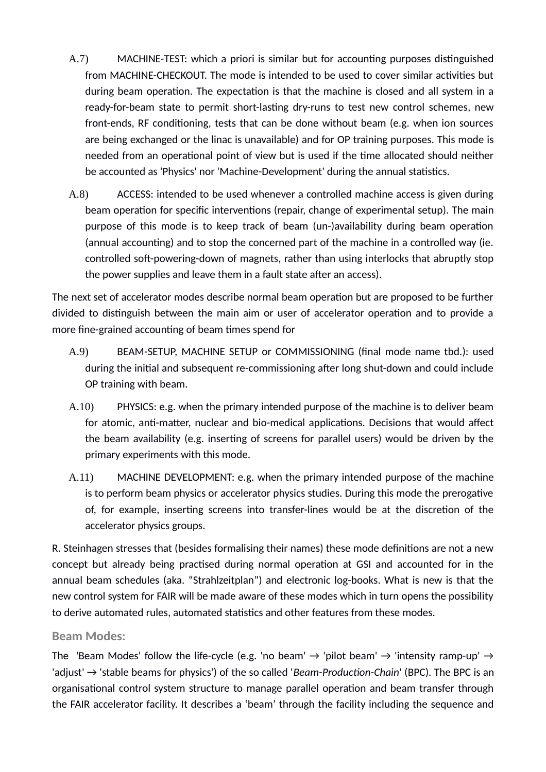- A.7) MACHINE-TEST: which a priori is similar but for accounting purposes distinguished from MACHINE-CHECKOUT. The mode is intended to be used to cover similar activities but during beam operation. The expectation is that the machine is closed and all system in a ready-for-beam state to permit short-lasting dry-runs to test new control schemes, new front-ends, RF conditioning, tests that can be done without beam (e.g. when ion sources are being exchanged or the linac is unavailable) and for OP training purposes. This mode is needed from an operational point of view but is used if the time allocated should neither be accounted as 'Physics' nor 'Machine-Development' during the annual statistics.
- A.8) ACCESS: intended to be used whenever a controlled machine access is given during beam operation for specific interventions (repair, change of experimental setup). The main purpose of this mode is to keep track of beam (un-)availability during beam operation (annual accounting) and to stop the concerned part of the machine in a controlled way (ie. controlled soft-powering-down of magnets, rather than using interlocks that abruptly stop the power supplies and leave them in a fault state after an access).

The next set of accelerator modes describe normal beam operation but are proposed to be further divided to distinguish between the main aim or user of accelerator operation and to provide a more fine-grained accounting of beam times spend for

- A.9) BEAM-SETUP, MACHINE SETUP or COMMISSIONING (final mode name tbd.): used during the initial and subsequent re-commissioning after long shut-down and could include OP training with beam.
- A.10) PHYSICS: e.g. when the primary intended purpose of the machine is to deliver beam for atomic, anti-matter, nuclear and bio-medical applications. Decisions that would affect the beam availability (e.g. inserting of screens for parallel users) would be driven by the primary experiments with this mode.
- A.11) MACHINE DEVELOPMENT: e.g. when the primary intended purpose of the machine is to perform beam physics or accelerator physics studies. During this mode the prerogative of, for example, inserting screens into transfer-lines would be at the discretion of the accelerator physics groups.

R. Steinhagen stresses that (besides formalising their names) these mode definitions are not a new concept but already being practised during normal operation at GSI and accounted for in the annual beam schedules (aka. "Strahlzeitplan") and electronic log-books. What is new is that the new control system for FAIR will be made aware of these modes which in turn opens the possibility to derive automated rules, automated statistics and other features from these modes.

#### **Beam Modes:**

The 'Beam Modes' follow the life-cycle (e.g. 'no beam'  $\rightarrow$  'pilot beam'  $\rightarrow$  'intensity ramp-up'  $\rightarrow$ 'adjust' → 'stable beams for physics') of the so called '*Beam-Production-Chain*' (BPC). The BPC is an organisational control system structure to manage parallel operation and beam transfer through the FAIR accelerator facility. It describes a 'beam' through the facility including the sequence and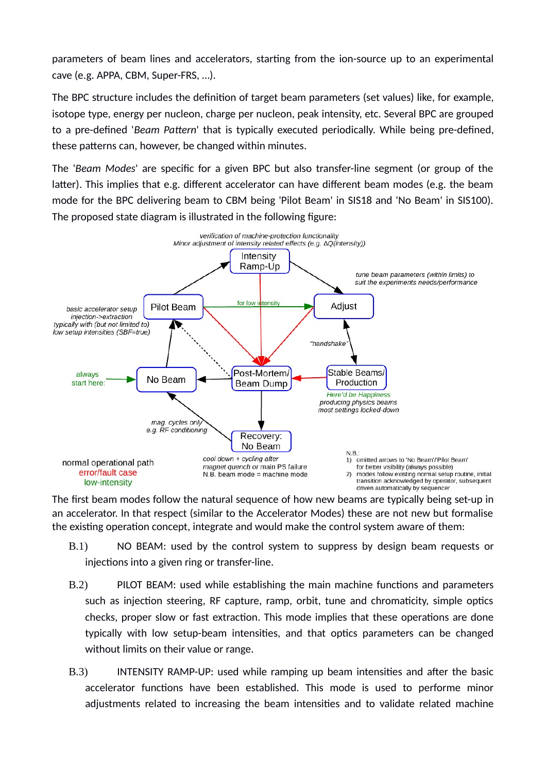parameters of beam lines and accelerators, starting from the ion-source up to an experimental cave (e.g. APPA, CBM, Super-FRS, …).

The BPC structure includes the definition of target beam parameters (set values) like, for example, isotope type, energy per nucleon, charge per nucleon, peak intensity, etc. Several BPC are grouped to a pre-defined '*Beam Pattern*' that is typically executed periodically. While being pre-defined, these patterns can, however, be changed within minutes.

The '*Beam Modes*' are specific for a given BPC but also transfer-line segment (or group of the latter). This implies that e.g. different accelerator can have different beam modes (e.g. the beam mode for the BPC delivering beam to CBM being 'Pilot Beam' in SIS18 and 'No Beam' in SIS100). The proposed state diagram is illustrated in the following figure:



The first beam modes follow the natural sequence of how new beams are typically being set-up in an accelerator. In that respect (similar to the Accelerator Modes) these are not new but formalise the existing operation concept, integrate and would make the control system aware of them:

- B.1) NO BEAM: used by the control system to suppress by design beam requests or injections into a given ring or transfer-line.
- B.2) PILOT BEAM: used while establishing the main machine functions and parameters such as injection steering, RF capture, ramp, orbit, tune and chromaticity, simple optics checks, proper slow or fast extraction. This mode implies that these operations are done typically with low setup-beam intensities, and that optics parameters can be changed without limits on their value or range.
- B.3) INTENSITY RAMP-UP: used while ramping up beam intensities and after the basic accelerator functions have been established. This mode is used to performe minor adjustments related to increasing the beam intensities and to validate related machine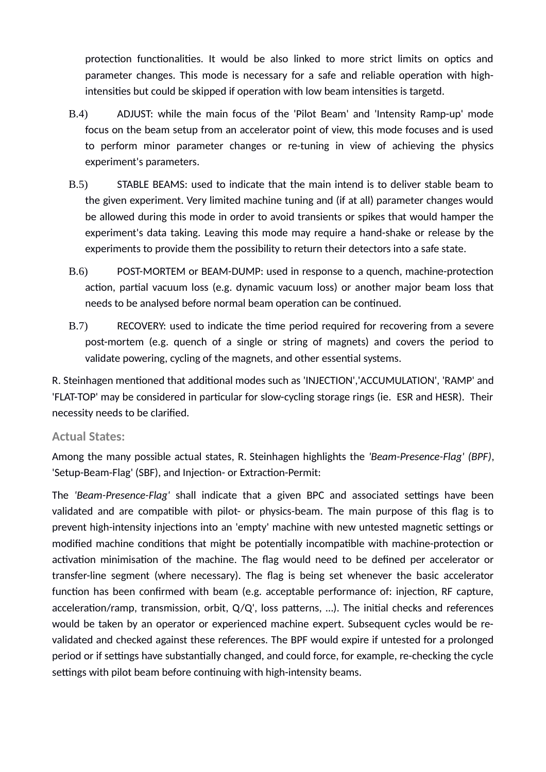protection functionalities. It would be also linked to more strict limits on optics and parameter changes. This mode is necessary for a safe and reliable operation with highintensities but could be skipped if operation with low beam intensities is targetd.

- B.4) ADJUST: while the main focus of the 'Pilot Beam' and 'Intensity Ramp-up' mode focus on the beam setup from an accelerator point of view, this mode focuses and is used to perform minor parameter changes or re-tuning in view of achieving the physics experiment's parameters.
- B.5) STABLE BEAMS: used to indicate that the main intend is to deliver stable beam to the given experiment. Very limited machine tuning and (if at all) parameter changes would be allowed during this mode in order to avoid transients or spikes that would hamper the experiment's data taking. Leaving this mode may require a hand-shake or release by the experiments to provide them the possibility to return their detectors into a safe state.
- B.6) POST-MORTEM or BEAM-DUMP: used in response to a quench, machine-protection action, partial vacuum loss (e.g. dynamic vacuum loss) or another major beam loss that needs to be analysed before normal beam operation can be continued.
- B.7) RECOVERY: used to indicate the time period required for recovering from a severe post-mortem (e.g. quench of a single or string of magnets) and covers the period to validate powering, cycling of the magnets, and other essential systems.

R. Steinhagen mentioned that additional modes such as 'INJECTION','ACCUMULATION', 'RAMP' and 'FLAT-TOP' may be considered in particular for slow-cycling storage rings (ie. ESR and HESR). Their necessity needs to be clarified.

#### **Actual States:**

Among the many possible actual states, R. Steinhagen highlights the *'Beam-Presence-Flag' (BPF)*, 'Setup-Beam-Flag' (SBF), and Injection- or Extraction-Permit:

The *'Beam-Presence-Flag'* shall indicate that a given BPC and associated settings have been validated and are compatible with pilot- or physics-beam. The main purpose of this flag is to prevent high-intensity injections into an 'empty' machine with new untested magnetic settings or modified machine conditions that might be potentially incompatible with machine-protection or activation minimisation of the machine. The flag would need to be defined per accelerator or transfer-line segment (where necessary). The flag is being set whenever the basic accelerator function has been confirmed with beam (e.g. acceptable performance of: injection, RF capture, acceleration/ramp, transmission, orbit, Q/Q', loss patterns, …). The initial checks and references would be taken by an operator or experienced machine expert. Subsequent cycles would be revalidated and checked against these references. The BPF would expire if untested for a prolonged period or if settings have substantially changed, and could force, for example, re-checking the cycle settings with pilot beam before continuing with high-intensity beams.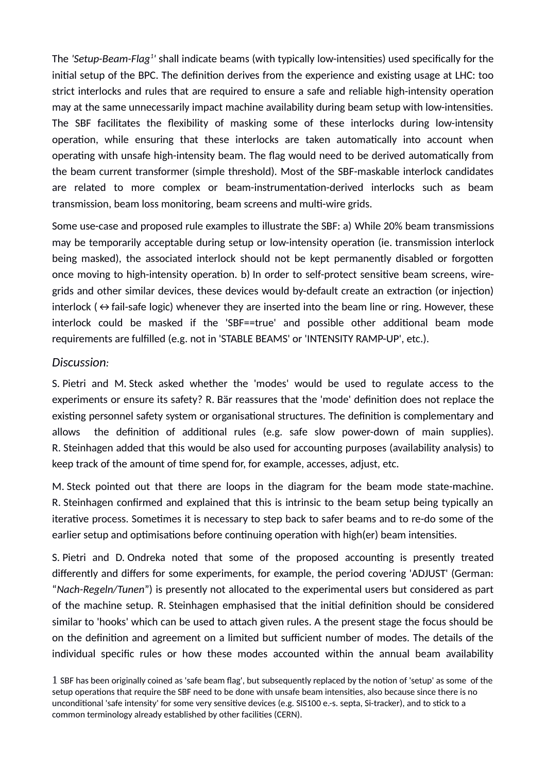The *'Setup-Beam-Flag<sup>[1](#page-5-0)</sup>'* shall indicate beams (with typically low-intensities) used specifically for the initial setup of the BPC. The definition derives from the experience and existing usage at LHC: too strict interlocks and rules that are required to ensure a safe and reliable high-intensity operation may at the same unnecessarily impact machine availability during beam setup with low-intensities. The SBF facilitates the flexibility of masking some of these interlocks during low-intensity operation, while ensuring that these interlocks are taken automatically into account when operating with unsafe high-intensity beam. The flag would need to be derived automatically from the beam current transformer (simple threshold). Most of the SBF-maskable interlock candidates are related to more complex or beam-instrumentation-derived interlocks such as beam transmission, beam loss monitoring, beam screens and multi-wire grids.

Some use-case and proposed rule examples to illustrate the SBF: a) While 20% beam transmissions may be temporarily acceptable during setup or low-intensity operation (ie. transmission interlock being masked), the associated interlock should not be kept permanently disabled or forgotten once moving to high-intensity operation. b) In order to self-protect sensitive beam screens, wiregrids and other similar devices, these devices would by-default create an extraction (or injection) interlock ( $\Leftrightarrow$  fail-safe logic) whenever they are inserted into the beam line or ring. However, these interlock could be masked if the 'SBF==true' and possible other additional beam mode requirements are fulfilled (e.g. not in 'STABLE BEAMS' or 'INTENSITY RAMP-UP', etc.).

#### *Discussion:*

S. Pietri and M. Steck asked whether the 'modes' would be used to regulate access to the experiments or ensure its safety? R. Bär reassures that the 'mode' definition does not replace the existing personnel safety system or organisational structures. The definition is complementary and allows the definition of additional rules (e.g. safe slow power-down of main supplies). R. Steinhagen added that this would be also used for accounting purposes (availability analysis) to keep track of the amount of time spend for, for example, accesses, adjust, etc.

M. Steck pointed out that there are loops in the diagram for the beam mode state-machine. R. Steinhagen confirmed and explained that this is intrinsic to the beam setup being typically an iterative process. Sometimes it is necessary to step back to safer beams and to re-do some of the earlier setup and optimisations before continuing operation with high(er) beam intensities.

S. Pietri and D. Ondreka noted that some of the proposed accounting is presently treated differently and differs for some experiments, for example, the period covering 'ADJUST' (German: "*Nach-Regeln/Tunen*") is presently not allocated to the experimental users but considered as part of the machine setup. R. Steinhagen emphasised that the initial definition should be considered similar to 'hooks' which can be used to attach given rules. A the present stage the focus should be on the definition and agreement on a limited but sufficient number of modes. The details of the individual specific rules or how these modes accounted within the annual beam availability

<span id="page-5-0"></span>1 SBF has been originally coined as 'safe beam flag', but subsequently replaced by the notion of 'setup' as some of the setup operations that require the SBF need to be done with unsafe beam intensities, also because since there is no unconditional 'safe intensity' for some very sensitive devices (e.g. SIS100 e.-s. septa, Si-tracker), and to stick to a common terminology already established by other facilities (CERN).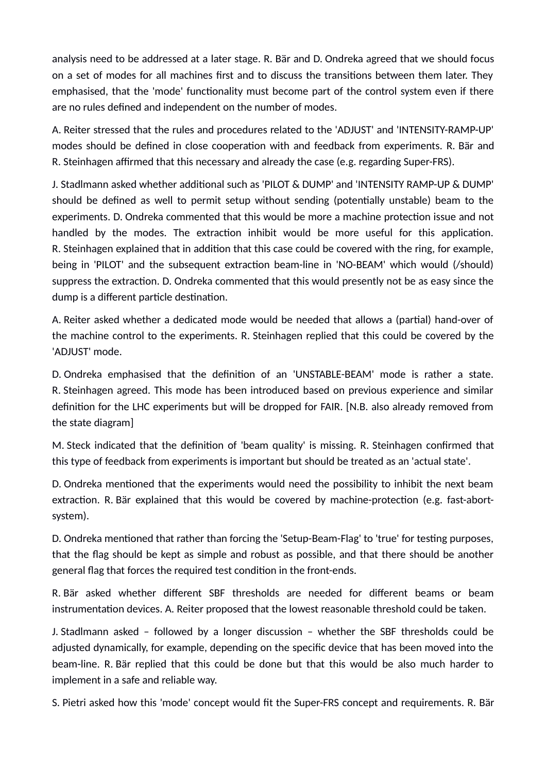analysis need to be addressed at a later stage. R. Bär and D. Ondreka agreed that we should focus on a set of modes for all machines first and to discuss the transitions between them later. They emphasised, that the 'mode' functionality must become part of the control system even if there are no rules defined and independent on the number of modes.

A. Reiter stressed that the rules and procedures related to the 'ADJUST' and 'INTENSITY-RAMP-UP' modes should be defined in close cooperation with and feedback from experiments. R. Bär and R. Steinhagen affirmed that this necessary and already the case (e.g. regarding Super-FRS).

J. Stadlmann asked whether additional such as 'PILOT & DUMP' and 'INTENSITY RAMP-UP & DUMP' should be defined as well to permit setup without sending (potentially unstable) beam to the experiments. D. Ondreka commented that this would be more a machine protection issue and not handled by the modes. The extraction inhibit would be more useful for this application. R. Steinhagen explained that in addition that this case could be covered with the ring, for example, being in 'PILOT' and the subsequent extraction beam-line in 'NO-BEAM' which would (/should) suppress the extraction. D. Ondreka commented that this would presently not be as easy since the dump is a different particle destination.

A. Reiter asked whether a dedicated mode would be needed that allows a (partial) hand-over of the machine control to the experiments. R. Steinhagen replied that this could be covered by the 'ADJUST' mode.

D. Ondreka emphasised that the definition of an 'UNSTABLE-BEAM' mode is rather a state. R. Steinhagen agreed. This mode has been introduced based on previous experience and similar definition for the LHC experiments but will be dropped for FAIR. [N.B. also already removed from the state diagram]

M. Steck indicated that the definition of 'beam quality' is missing. R. Steinhagen confirmed that this type of feedback from experiments is important but should be treated as an 'actual state'.

D. Ondreka mentioned that the experiments would need the possibility to inhibit the next beam extraction. R. Bär explained that this would be covered by machine-protection (e.g. fast-abortsystem).

D. Ondreka mentioned that rather than forcing the 'Setup-Beam-Flag' to 'true' for testing purposes, that the flag should be kept as simple and robust as possible, and that there should be another general flag that forces the required test condition in the front-ends.

R. Bär asked whether different SBF thresholds are needed for different beams or beam instrumentation devices. A. Reiter proposed that the lowest reasonable threshold could be taken.

J. Stadlmann asked – followed by a longer discussion – whether the SBF thresholds could be adjusted dynamically, for example, depending on the specific device that has been moved into the beam-line. R. Bär replied that this could be done but that this would be also much harder to implement in a safe and reliable way.

S. Pietri asked how this 'mode' concept would fit the Super-FRS concept and requirements. R. Bär